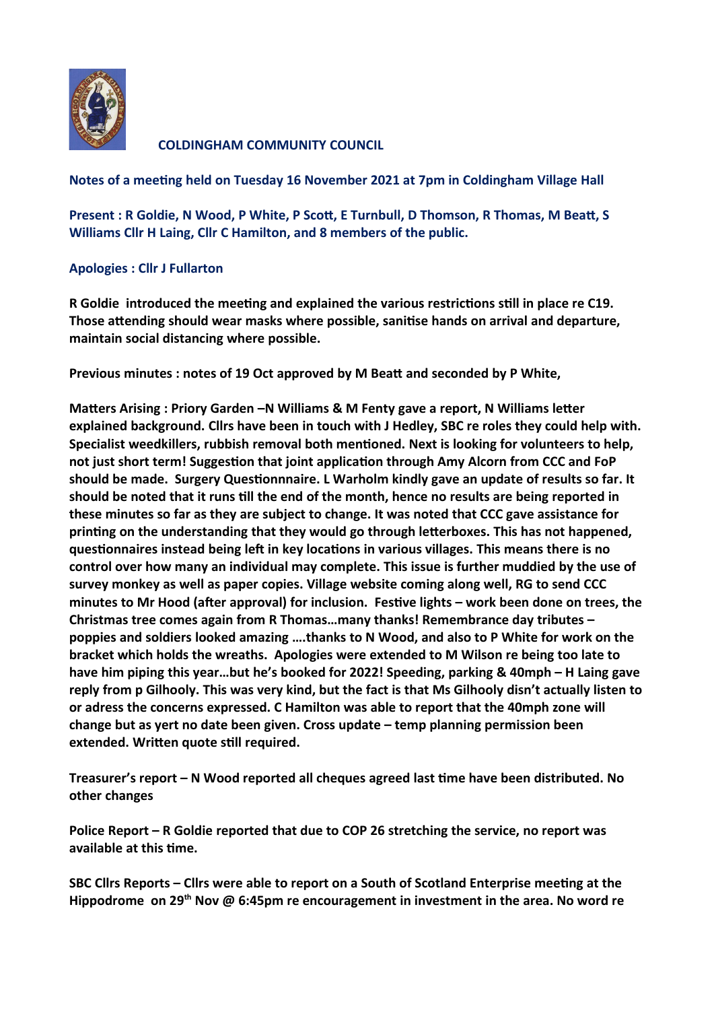

**COLDINGHAM COMMUNITY COUNCIL** 

**Notes of a meeting held on Tuesday 16 November 2021 at 7pm in Coldingham Village Hall**

**Present : R Goldie, N Wood, P White, P Scott, E Turnbull, D Thomson, R Thomas, M Beatt, S Williams Cllr H Laing, Cllr C Hamilton, and 8 members of the public.**

## **Apologies : Cllr J Fullarton**

**R Goldie introduced the meeting and explained the various restrictions still in place re C19. Those attending should wear masks where possible, sanitise hands on arrival and departure, maintain social distancing where possible.**

**Previous minutes : notes of 19 Oct approved by M Beatt and seconded by P White,** 

**Matters Arising : Priory Garden –N Williams & M Fenty gave a report, N Williams letter explained background. Cllrs have been in touch with J Hedley, SBC re roles they could help with. Specialist weedkillers, rubbish removal both mentioned. Next is looking for volunteers to help, not just short term! Suggestion that joint application through Amy Alcorn from CCC and FoP should be made. Surgery Questionnnaire. L Warholm kindly gave an update of results so far. It should be noted that it runs till the end of the month, hence no results are being reported in these minutes so far as they are subject to change. It was noted that CCC gave assistance for printing on the understanding that they would go through letterboxes. This has not happened, questionnaires instead being left in key locations in various villages. This means there is no control over how many an individual may complete. This issue is further muddied by the use of survey monkey as well as paper copies. Village website coming along well, RG to send CCC minutes to Mr Hood (after approval) for inclusion. Festive lights – work been done on trees, the Christmas tree comes again from R Thomas…many thanks! Remembrance day tributes – poppies and soldiers looked amazing ….thanks to N Wood, and also to P White for work on the bracket which holds the wreaths. Apologies were extended to M Wilson re being too late to have him piping this year…but he's booked for 2022! Speeding, parking & 40mph – H Laing gave reply from p Gilhooly. This was very kind, but the fact is that Ms Gilhooly disn't actually listen to or adress the concerns expressed. C Hamilton was able to report that the 40mph zone will change but as yert no date been given. Cross update – temp planning permission been extended. Written quote still required.** 

**Treasurer's report – N Wood reported all cheques agreed last time have been distributed. No other changes**

**Police Report – R Goldie reported that due to COP 26 stretching the service, no report was available at this time.** 

**SBC Cllrs Reports – Cllrs were able to report on a South of Scotland Enterprise meeting at the Hippodrome on 29th Nov @ 6:45pm re encouragement in investment in the area. No word re**